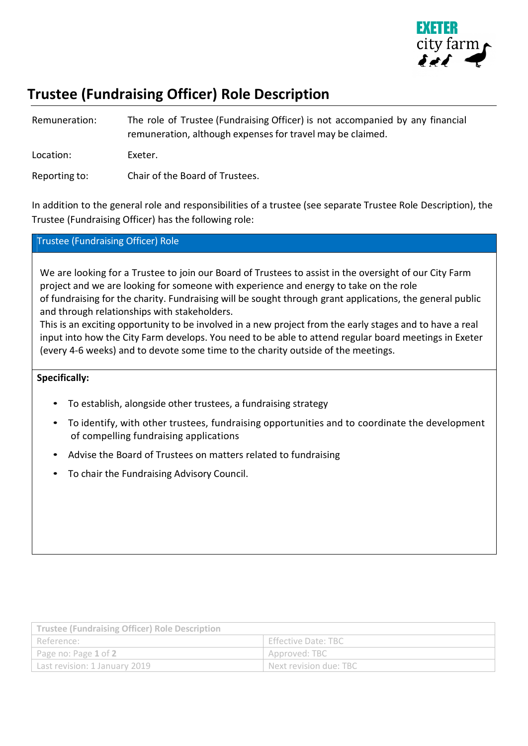

## **Trustee (Fundraising Officer) Role Description**

| Remuneration: | The role of Trustee (Fundraising Officer) is not accompanied by any financial<br>remuneration, although expenses for travel may be claimed. |
|---------------|---------------------------------------------------------------------------------------------------------------------------------------------|
| Location:     | Exeter.                                                                                                                                     |
| Reporting to: | Chair of the Board of Trustees.                                                                                                             |

In addition to the general role and responsibilities of a trustee (see separate Trustee Role Description), the Trustee (Fundraising Officer) has the following role:

## Trustee (Fundraising Officer) Role

We are looking for a Trustee to join our Board of Trustees to assist in the oversight of our City Farm project and we are looking for someone with experience and energy to take on the role of fundraising for the charity. Fundraising will be sought through grant applications, the general public and through relationships with stakeholders.

This is an exciting opportunity to be involved in a new project from the early stages and to have a real input into how the City Farm develops. You need to be able to attend regular board meetings in Exeter (every 4-6 weeks) and to devote some time to the charity outside of the meetings.

## **Specifically:**

- To establish, alongside other trustees, a fundraising strategy
- To identify, with other trustees, fundraising opportunities and to coordinate the development of compelling fundraising applications
- Advise the Board of Trustees on matters related to fundraising
- To chair the Fundraising Advisory Council.

| <b>Trustee (Fundraising Officer) Role Description</b> |                        |  |  |
|-------------------------------------------------------|------------------------|--|--|
| Reference:                                            | Effective Date: TBC    |  |  |
| Page no: Page 1 of 2                                  | Approved: TBC          |  |  |
| Last revision: 1 January 2019                         | Next revision due: TBC |  |  |